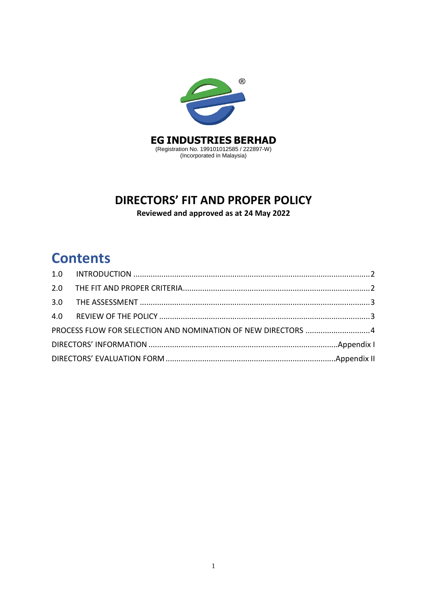

# **DIRECTORS' FIT AND PROPER POLICY**

**Reviewed and approved as at 24 May 2022**

# **Contents**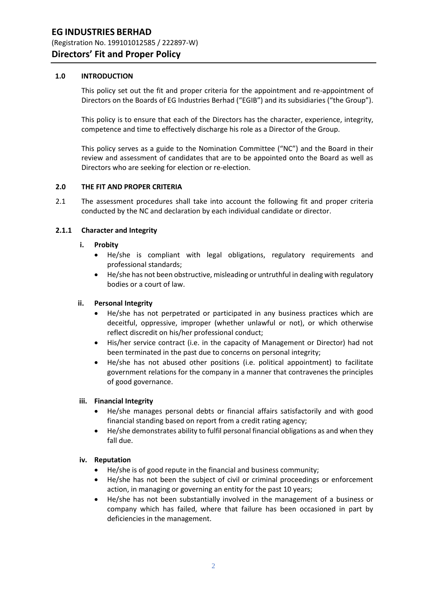## <span id="page-1-0"></span>**1.0 INTRODUCTION**

This policy set out the fit and proper criteria for the appointment and re-appointment of Directors on the Boards of EG Industries Berhad ("EGIB") and its subsidiaries ("the Group").

This policy is to ensure that each of the Directors has the character, experience, integrity, competence and time to effectively discharge his role as a Director of the Group.

This policy serves as a guide to the Nomination Committee ("NC") and the Board in their review and assessment of candidates that are to be appointed onto the Board as well as Directors who are seeking for election or re-election.

#### <span id="page-1-1"></span>**2.0 THE FIT AND PROPER CRITERIA**

2.1 The assessment procedures shall take into account the following fit and proper criteria conducted by the NC and declaration by each individual candidate or director.

## **2.1.1 Character and Integrity**

#### **i. Probity**

- He/she is compliant with legal obligations, regulatory requirements and professional standards;
- He/she has not been obstructive, misleading or untruthful in dealing with regulatory bodies or a court of law.

#### **ii. Personal Integrity**

- He/she has not perpetrated or participated in any business practices which are deceitful, oppressive, improper (whether unlawful or not), or which otherwise reflect discredit on his/her professional conduct;
- His/her service contract (i.e. in the capacity of Management or Director) had not been terminated in the past due to concerns on personal integrity;
- He/she has not abused other positions (i.e. political appointment) to facilitate government relations for the company in a manner that contravenes the principles of good governance.

#### **iii. Financial Integrity**

- He/she manages personal debts or financial affairs satisfactorily and with good financial standing based on report from a credit rating agency;
- He/she demonstrates ability to fulfil personal financial obligations as and when they fall due.

#### **iv. Reputation**

- He/she is of good repute in the financial and business community;
- He/she has not been the subject of civil or criminal proceedings or enforcement action, in managing or governing an entity for the past 10 years;
- He/she has not been substantially involved in the management of a business or company which has failed, where that failure has been occasioned in part by deficiencies in the management.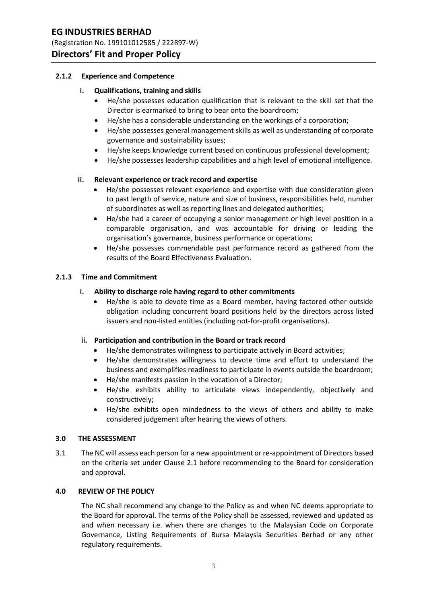# **EG INDUSTRIES BERHAD**

(Registration No. 199101012585 / 222897-W)

# **Directors' Fit and Proper Policy**

## **2.1.2 Experience and Competence**

## **i. Qualifications, training and skills**

- He/she possesses education qualification that is relevant to the skill set that the Director is earmarked to bring to bear onto the boardroom;
- He/she has a considerable understanding on the workings of a corporation;
- He/she possesses general management skills as well as understanding of corporate governance and sustainability issues;
- He/she keeps knowledge current based on continuous professional development;
- He/she possesses leadership capabilities and a high level of emotional intelligence.

## **ii. Relevant experience or track record and expertise**

- He/she possesses relevant experience and expertise with due consideration given to past length of service, nature and size of business, responsibilities held, number of subordinates as well as reporting lines and delegated authorities;
- He/she had a career of occupying a senior management or high level position in a comparable organisation, and was accountable for driving or leading the organisation's governance, business performance or operations;
- He/she possesses commendable past performance record as gathered from the results of the Board Effectiveness Evaluation.

## **2.1.3 Time and Commitment**

## **i. Ability to discharge role having regard to other commitments**

 He/she is able to devote time as a Board member, having factored other outside obligation including concurrent board positions held by the directors across listed issuers and non-listed entities (including not-for-profit organisations).

#### **ii. Participation and contribution in the Board or track record**

- He/she demonstrates willingness to participate actively in Board activities;
- He/she demonstrates willingness to devote time and effort to understand the business and exemplifies readiness to participate in events outside the boardroom;
- He/she manifests passion in the vocation of a Director;
- He/she exhibits ability to articulate views independently, objectively and constructively;
- He/she exhibits open mindedness to the views of others and ability to make considered judgement after hearing the views of others.

#### <span id="page-2-0"></span>**3.0 THE ASSESSMENT**

3.1 The NC will assess each person for a new appointment or re-appointment of Directors based on the criteria set under Clause 2.1 before recommending to the Board for consideration and approval.

## <span id="page-2-1"></span>**4.0 REVIEW OF THE POLICY**

The NC shall recommend any change to the Policy as and when NC deems appropriate to the Board for approval. The terms of the Policy shall be assessed, reviewed and updated as and when necessary i.e. when there are changes to the Malaysian Code on Corporate Governance, Listing Requirements of Bursa Malaysia Securities Berhad or any other regulatory requirements.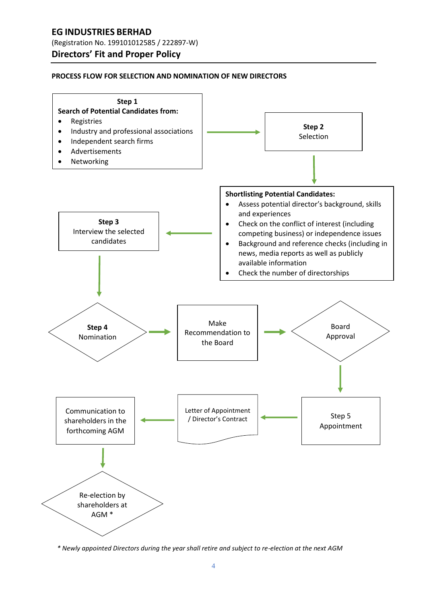# **EG INDUSTRIES BERHAD**

(Registration No. 199101012585 / 222897-W)

# **Directors' Fit and Proper Policy**

#### <span id="page-3-0"></span>**PROCESS FLOW FOR SELECTION AND NOMINATION OF NEW DIRECTORS**



*\* Newly appointed Directors during the year shall retire and subject to re-election at the next AGM*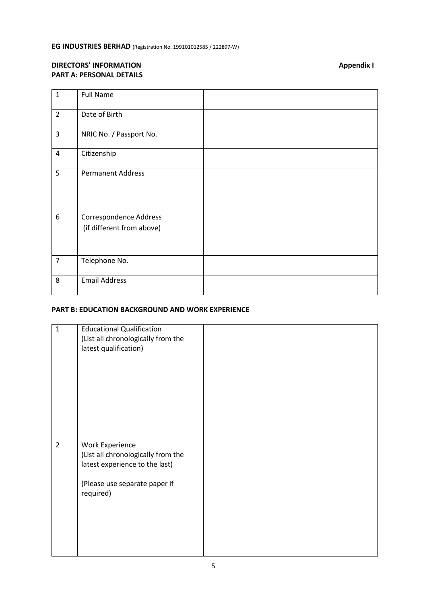# <span id="page-4-0"></span>**DIRECTORS' INFORMATION Appendix I PART A: PERSONAL DETAILS**

| $\mathbf{1}$   | <b>Full Name</b>          |  |
|----------------|---------------------------|--|
| $\overline{2}$ | Date of Birth             |  |
| $\overline{3}$ | NRIC No. / Passport No.   |  |
| 4              | Citizenship               |  |
| 5              | <b>Permanent Address</b>  |  |
| 6              | Correspondence Address    |  |
|                | (if different from above) |  |
| $\overline{7}$ | Telephone No.             |  |
| 8              | <b>Email Address</b>      |  |

## **PART B: EDUCATION BACKGROUND AND WORK EXPERIENCE**

| $\mathbf{1}$   | <b>Educational Qualification</b><br>(List all chronologically from the<br>latest qualification)                                       |  |
|----------------|---------------------------------------------------------------------------------------------------------------------------------------|--|
|                |                                                                                                                                       |  |
| $\overline{2}$ | Work Experience<br>(List all chronologically from the<br>latest experience to the last)<br>(Please use separate paper if<br>required) |  |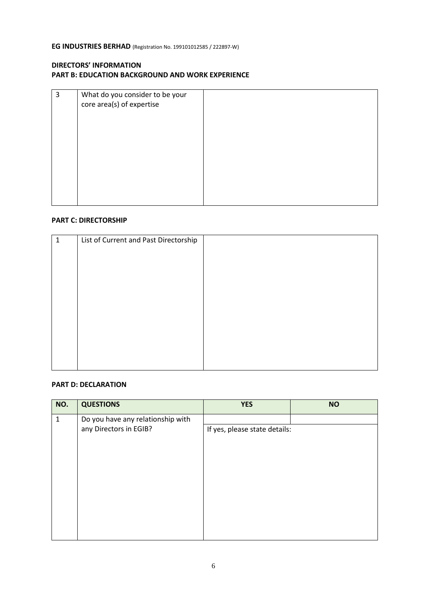## **DIRECTORS' INFORMATION PART B: EDUCATION BACKGROUND AND WORK EXPERIENCE**

| 3 | What do you consider to be your<br>core area(s) of expertise |  |
|---|--------------------------------------------------------------|--|
|   |                                                              |  |
|   |                                                              |  |
|   |                                                              |  |
|   |                                                              |  |

#### **PART C: DIRECTORSHIP**

| 1 | List of Current and Past Directorship |  |
|---|---------------------------------------|--|
|   |                                       |  |
|   |                                       |  |
|   |                                       |  |
|   |                                       |  |
|   |                                       |  |
|   |                                       |  |
|   |                                       |  |
|   |                                       |  |
|   |                                       |  |
|   |                                       |  |
|   |                                       |  |

#### **PART D: DECLARATION**

| NO.          | <b>QUESTIONS</b>                  | <b>YES</b>                    | <b>NO</b> |
|--------------|-----------------------------------|-------------------------------|-----------|
| $\mathbf{1}$ | Do you have any relationship with |                               |           |
|              | any Directors in EGIB?            | If yes, please state details: |           |
|              |                                   |                               |           |
|              |                                   |                               |           |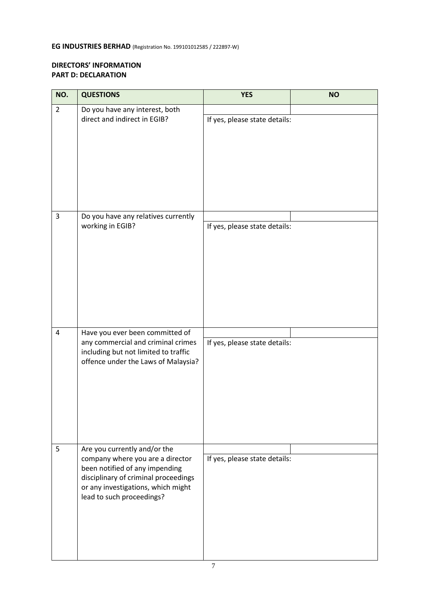## **DIRECTORS' INFORMATION PART D: DECLARATION**

| NO.            | <b>QUESTIONS</b>                                                                                                                                                                                              | <b>YES</b>                    | <b>NO</b> |
|----------------|---------------------------------------------------------------------------------------------------------------------------------------------------------------------------------------------------------------|-------------------------------|-----------|
| $\overline{2}$ | Do you have any interest, both<br>direct and indirect in EGIB?                                                                                                                                                | If yes, please state details: |           |
| 3              | Do you have any relatives currently<br>working in EGIB?                                                                                                                                                       | If yes, please state details: |           |
| 4              | Have you ever been committed of<br>any commercial and criminal crimes<br>including but not limited to traffic<br>offence under the Laws of Malaysia?                                                          | If yes, please state details: |           |
| 5              | Are you currently and/or the<br>company where you are a director<br>been notified of any impending<br>disciplinary of criminal proceedings<br>or any investigations, which might<br>lead to such proceedings? | If yes, please state details: |           |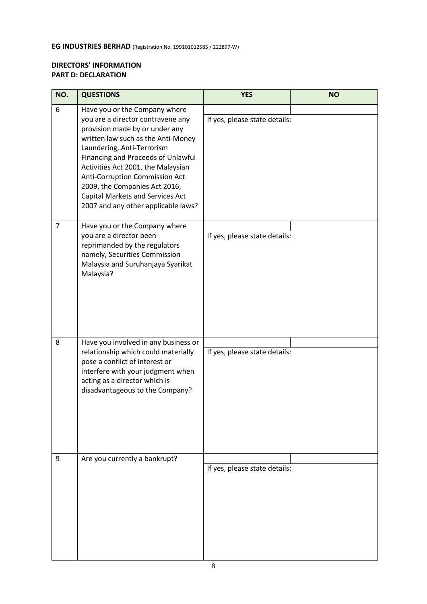# **DIRECTORS' INFORMATION PART D: DECLARATION**

| NO.            | <b>QUESTIONS</b>                                                                                                                                                                                                                                                                                                                                                                                   | <b>YES</b>                    | <b>NO</b> |
|----------------|----------------------------------------------------------------------------------------------------------------------------------------------------------------------------------------------------------------------------------------------------------------------------------------------------------------------------------------------------------------------------------------------------|-------------------------------|-----------|
| 6              | Have you or the Company where<br>you are a director contravene any<br>provision made by or under any<br>written law such as the Anti-Money<br>Laundering, Anti-Terrorism<br>Financing and Proceeds of Unlawful<br>Activities Act 2001, the Malaysian<br>Anti-Corruption Commission Act<br>2009, the Companies Act 2016,<br>Capital Markets and Services Act<br>2007 and any other applicable laws? | If yes, please state details: |           |
| $\overline{7}$ | Have you or the Company where                                                                                                                                                                                                                                                                                                                                                                      |                               |           |
|                | you are a director been<br>reprimanded by the regulators<br>namely, Securities Commission<br>Malaysia and Suruhanjaya Syarikat<br>Malaysia?                                                                                                                                                                                                                                                        | If yes, please state details: |           |
| 8              | Have you involved in any business or                                                                                                                                                                                                                                                                                                                                                               |                               |           |
|                | relationship which could materially<br>pose a conflict of interest or<br>interfere with your judgment when<br>acting as a director which is<br>disadvantageous to the Company?                                                                                                                                                                                                                     | If yes, please state details: |           |
| 9              | Are you currently a bankrupt?                                                                                                                                                                                                                                                                                                                                                                      | If yes, please state details: |           |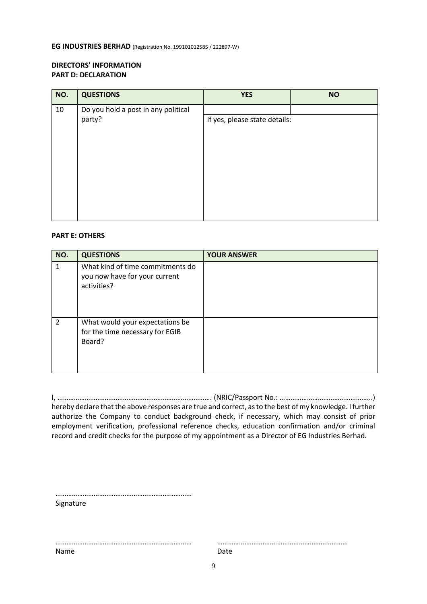## **DIRECTORS' INFORMATION PART D: DECLARATION**

| NO. | <b>QUESTIONS</b>                    | <b>YES</b>                    | <b>NO</b> |
|-----|-------------------------------------|-------------------------------|-----------|
| 10  | Do you hold a post in any political |                               |           |
|     | party?                              | If yes, please state details: |           |
|     |                                     |                               |           |
|     |                                     |                               |           |
|     |                                     |                               |           |
|     |                                     |                               |           |
|     |                                     |                               |           |

#### **PART E: OTHERS**

| NO.            | <b>QUESTIONS</b>                                                                 | <b>YOUR ANSWER</b> |
|----------------|----------------------------------------------------------------------------------|--------------------|
| 1              | What kind of time commitments do<br>you now have for your current<br>activities? |                    |
| $\overline{2}$ | What would your expectations be<br>for the time necessary for EGIB<br>Board?     |                    |

| hereby declare that the above responses are true and correct, as to the best of my knowledge. I further |
|---------------------------------------------------------------------------------------------------------|
| authorize the Company to conduct background check, if necessary, which may consist of prior             |
| employment verification, professional reference checks, education confirmation and/or criminal          |
| record and credit checks for the purpose of my appointment as a Director of EG Industries Berhad.       |

| Signature |  |  |
|-----------|--|--|

…………………………………………………………………

Signature

Name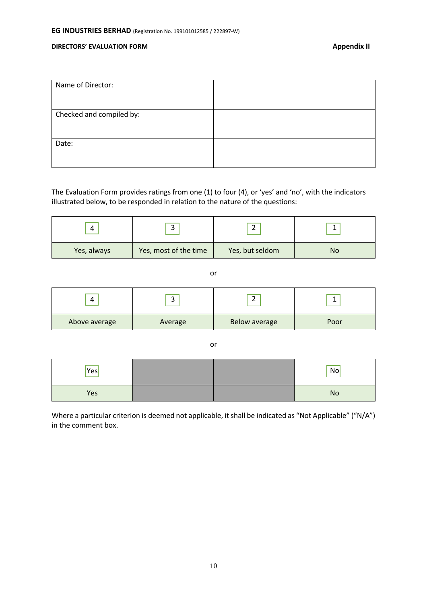#### <span id="page-9-0"></span>**DIRECTORS' EVALUATION FORM** *Appendix II*

| Name of Director:        |  |
|--------------------------|--|
| Checked and compiled by: |  |
|                          |  |
| Date:                    |  |

The Evaluation Form provides ratings from one (1) to four (4), or 'yes' and 'no', with the indicators illustrated below, to be responded in relation to the nature of the questions:

| 4           | $\overline{\phantom{0}}$<br>ັ | $\overline{\phantom{0}}$<br>∸ |           |
|-------------|-------------------------------|-------------------------------|-----------|
| Yes, always | Yes, most of the time         | Yes, but seldom               | <b>No</b> |

or

| 4             | ∽<br>ັ  |                      |      |
|---------------|---------|----------------------|------|
| Above average | Average | <b>Below average</b> | Poor |

or

| Yes |  | $\sqrt{N}$ |
|-----|--|------------|
| Yes |  | No         |

Where a particular criterion is deemed not applicable, it shall be indicated as "Not Applicable" ("N/A") in the comment box.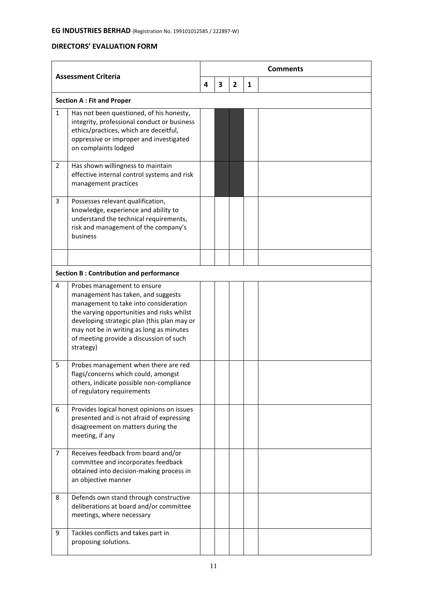# **DIRECTORS' EVALUATION FORM**

| <b>Assessment Criteria</b> |                                                                                                                                                                                                                                                                                                             | <b>Comments</b> |   |                |   |  |  |
|----------------------------|-------------------------------------------------------------------------------------------------------------------------------------------------------------------------------------------------------------------------------------------------------------------------------------------------------------|-----------------|---|----------------|---|--|--|
|                            |                                                                                                                                                                                                                                                                                                             |                 | 3 | $\overline{2}$ | 1 |  |  |
|                            | <b>Section A: Fit and Proper</b>                                                                                                                                                                                                                                                                            |                 |   |                |   |  |  |
| $\mathbf{1}$               | Has not been questioned, of his honesty,<br>integrity, professional conduct or business<br>ethics/practices, which are deceitful,<br>oppressive or improper and investigated<br>on complaints lodged                                                                                                        |                 |   |                |   |  |  |
| $\mathbf{2}^{\prime}$      | Has shown willingness to maintain<br>effective internal control systems and risk<br>management practices                                                                                                                                                                                                    |                 |   |                |   |  |  |
| 3                          | Possesses relevant qualification,<br>knowledge, experience and ability to<br>understand the technical requirements,<br>risk and management of the company's<br>business                                                                                                                                     |                 |   |                |   |  |  |
|                            |                                                                                                                                                                                                                                                                                                             |                 |   |                |   |  |  |
| 4                          | <b>Section B: Contribution and performance</b>                                                                                                                                                                                                                                                              |                 |   |                |   |  |  |
|                            | Probes management to ensure<br>management has taken, and suggests<br>management to take into consideration<br>the varying opportunities and risks whilst<br>developing strategic plan (this plan may or<br>may not be in writing as long as minutes<br>of meeting provide a discussion of such<br>strategy) |                 |   |                |   |  |  |
| 5                          | Probes management when there are red<br>flags/concerns which could, amongst<br>others, indicate possible non-compliance<br>of regulatory requirements                                                                                                                                                       |                 |   |                |   |  |  |
| 6                          | Provides logical honest opinions on issues<br>presented and is not afraid of expressing<br>disagreement on matters during the<br>meeting, if any                                                                                                                                                            |                 |   |                |   |  |  |
| $\overline{7}$             | Receives feedback from board and/or<br>committee and incorporates feedback<br>obtained into decision-making process in<br>an objective manner                                                                                                                                                               |                 |   |                |   |  |  |
| 8                          | Defends own stand through constructive<br>deliberations at board and/or committee<br>meetings, where necessary                                                                                                                                                                                              |                 |   |                |   |  |  |
| 9                          | Tackles conflicts and takes part in<br>proposing solutions.                                                                                                                                                                                                                                                 |                 |   |                |   |  |  |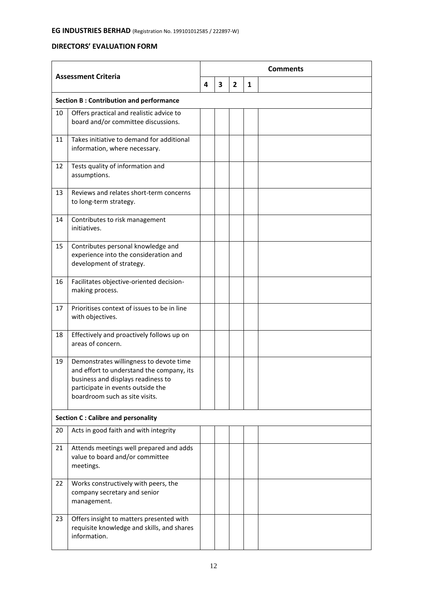# **DIRECTORS' EVALUATION FORM**

| <b>Assessment Criteria</b> |                                                                                                                                                                                                   | <b>Comments</b> |   |              |   |  |
|----------------------------|---------------------------------------------------------------------------------------------------------------------------------------------------------------------------------------------------|-----------------|---|--------------|---|--|
|                            |                                                                                                                                                                                                   |                 | 3 | $\mathbf{2}$ | 1 |  |
|                            | <b>Section B: Contribution and performance</b>                                                                                                                                                    |                 |   |              |   |  |
| 10                         | Offers practical and realistic advice to<br>board and/or committee discussions.                                                                                                                   |                 |   |              |   |  |
| 11                         | Takes initiative to demand for additional<br>information, where necessary.                                                                                                                        |                 |   |              |   |  |
| 12                         | Tests quality of information and<br>assumptions.                                                                                                                                                  |                 |   |              |   |  |
| 13                         | Reviews and relates short-term concerns<br>to long-term strategy.                                                                                                                                 |                 |   |              |   |  |
| 14                         | Contributes to risk management<br>initiatives.                                                                                                                                                    |                 |   |              |   |  |
| 15                         | Contributes personal knowledge and<br>experience into the consideration and<br>development of strategy.                                                                                           |                 |   |              |   |  |
| 16                         | Facilitates objective-oriented decision-<br>making process.                                                                                                                                       |                 |   |              |   |  |
| 17                         | Prioritises context of issues to be in line<br>with objectives.                                                                                                                                   |                 |   |              |   |  |
| 18                         | Effectively and proactively follows up on<br>areas of concern.                                                                                                                                    |                 |   |              |   |  |
| 19                         | Demonstrates willingness to devote time<br>and effort to understand the company, its<br>business and displays readiness to<br>participate in events outside the<br>boardroom such as site visits. |                 |   |              |   |  |
|                            | <b>Section C: Calibre and personality</b>                                                                                                                                                         |                 |   |              |   |  |
| 20                         | Acts in good faith and with integrity                                                                                                                                                             |                 |   |              |   |  |
| 21                         | Attends meetings well prepared and adds<br>value to board and/or committee<br>meetings.                                                                                                           |                 |   |              |   |  |
| 22                         | Works constructively with peers, the<br>company secretary and senior<br>management.                                                                                                               |                 |   |              |   |  |
| 23                         | Offers insight to matters presented with<br>requisite knowledge and skills, and shares<br>information.                                                                                            |                 |   |              |   |  |